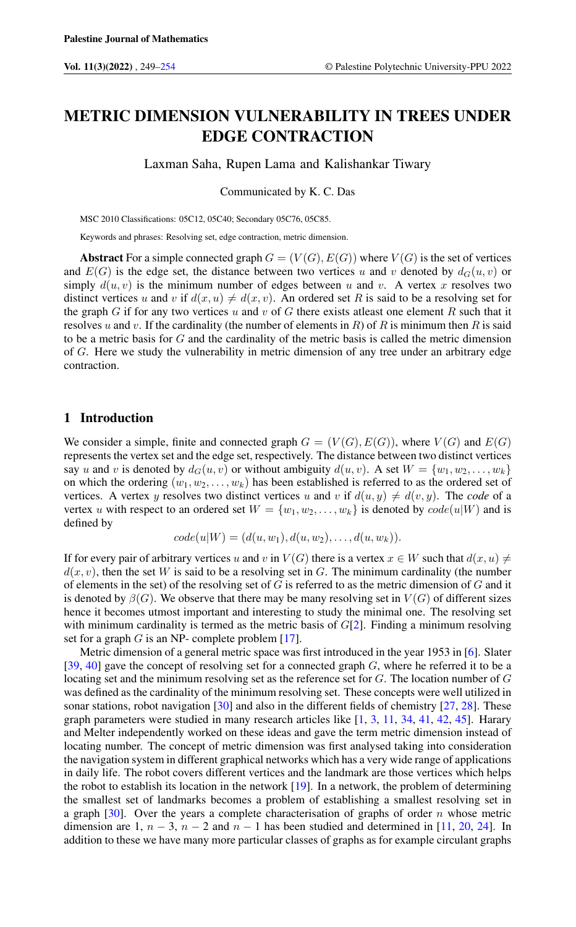# METRIC DIMENSION VULNERABILITY IN TREES UNDER EDGE CONTRACTION

Laxman Saha, Rupen Lama and Kalishankar Tiwary

Communicated by K. C. Das

MSC 2010 Classifications: 05C12, 05C40; Secondary 05C76, 05C85.

Keywords and phrases: Resolving set, edge contraction, metric dimension.

Abstract For a simple connected graph  $G = (V(G), E(G))$  where  $V(G)$  is the set of vertices and  $E(G)$  is the edge set, the distance between two vertices u and v denoted by  $d_G(u, v)$  or simply  $d(u, v)$  is the minimum number of edges between u and v. A vertex x resolves two distinct vertices u and v if  $d(x, u) \neq d(x, v)$ . An ordered set R is said to be a resolving set for the graph G if for any two vertices u and v of G there exists at east one element R such that it resolves u and v. If the cardinality (the number of elements in  $R$ ) of  $R$  is minimum then  $R$  is said to be a metric basis for  $G$  and the cardinality of the metric basis is called the metric dimension of G. Here we study the vulnerability in metric dimension of any tree under an arbitrary edge contraction.

### 1 Introduction

We consider a simple, finite and connected graph  $G = (V(G), E(G))$ , where  $V(G)$  and  $E(G)$ represents the vertex set and the edge set, respectively. The distance between two distinct vertices say u and v is denoted by  $d_G(u, v)$  or without ambiguity  $d(u, v)$ . A set  $W = \{w_1, w_2, \ldots, w_k\}$ on which the ordering  $(w_1, w_2, \ldots, w_k)$  has been established is referred to as the ordered set of vertices. A vertex y resolves two distinct vertices u and v if  $d(u, y) \neq d(v, y)$ . The *code* of a vertex u with respect to an ordered set  $W = \{w_1, w_2, \ldots, w_k\}$  is denoted by  $code(u|W)$  and is defined by

$$
code(u|W) = (d(u, w_1), d(u, w_2), \dots, d(u, w_k)).
$$

If for every pair of arbitrary vertices u and v in  $V(G)$  there is a vertex  $x \in W$  such that  $d(x, u) \neq$  $d(x, y)$ , then the set W is said to be a resolving set in G. The minimum cardinality (the number of elements in the set) of the resolving set of  $G$  is referred to as the metric dimension of  $G$  and it is denoted by  $\beta(G)$ . We observe that there may be many resolving set in  $V(G)$  of different sizes hence it becomes utmost important and interesting to study the minimal one. The resolving set with minimum cardinality is termed as the metric basis of  $G[2]$  $G[2]$ . Finding a minimum resolving set for a graph  $G$  is an NP- complete problem [\[17\]](#page-4-1).

Metric dimension of a general metric space was first introduced in the year 1953 in [\[6\]](#page-4-2). Slater [\[39,](#page-5-0) [40\]](#page-5-1) gave the concept of resolving set for a connected graph  $G$ , where he referred it to be a locating set and the minimum resolving set as the reference set for G. The location number of G was defined as the cardinality of the minimum resolving set. These concepts were well utilized in sonar stations, robot navigation [\[30\]](#page-4-3) and also in the different fields of chemistry [\[27,](#page-4-4) [28\]](#page-4-5). These graph parameters were studied in many research articles like [\[1,](#page-3-1) [3,](#page-4-6) [11,](#page-4-7) [34,](#page-5-2) [41,](#page-5-3) [42,](#page-5-4) [45\]](#page-5-5). Harary and Melter independently worked on these ideas and gave the term metric dimension instead of locating number. The concept of metric dimension was first analysed taking into consideration the navigation system in different graphical networks which has a very wide range of applications in daily life. The robot covers different vertices and the landmark are those vertices which helps the robot to establish its location in the network [\[19\]](#page-4-8). In a network, the problem of determining the smallest set of landmarks becomes a problem of establishing a smallest resolving set in a graph  $[30]$ . Over the years a complete characterisation of graphs of order n whose metric dimension are 1,  $n-3$ ,  $n-2$  and  $n-1$  has been studied and determined in [\[11,](#page-4-7) [20,](#page-4-9) [24\]](#page-4-10). In addition to these we have many more particular classes of graphs as for example circulant graphs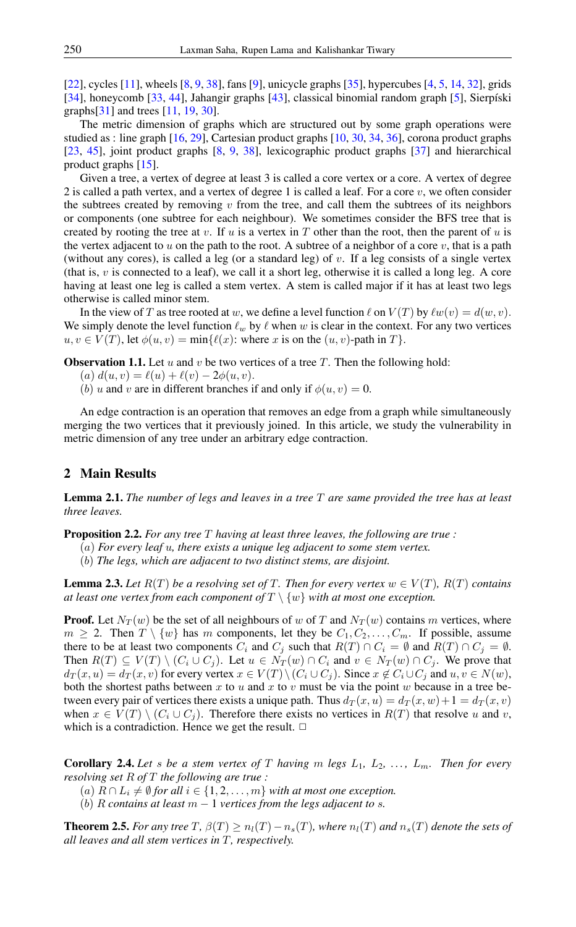[\[22\]](#page-4-11), cycles [\[11\]](#page-4-7), wheels  $[8, 9, 38]$  $[8, 9, 38]$  $[8, 9, 38]$  $[8, 9, 38]$  $[8, 9, 38]$ , fans [\[9\]](#page-4-13), unicycle graphs [\[35\]](#page-5-7), hypercubes [\[4,](#page-4-14) [5,](#page-4-15) [14,](#page-4-16) [32\]](#page-5-8), grids [\[34\]](#page-5-2), honeycomb [\[33,](#page-5-9) [44\]](#page-5-10), Jahangir graphs [\[43\]](#page-5-11), classical binomial random graph [\[5\]](#page-4-15), Sierpíski graphs[\[31\]](#page-5-12) and trees [\[11,](#page-4-7) [19,](#page-4-8) [30\]](#page-4-3).

The metric dimension of graphs which are structured out by some graph operations were studied as : line graph [\[16,](#page-4-17) [29\]](#page-4-18), Cartesian product graphs [\[10,](#page-4-19) [30,](#page-4-3) [34,](#page-5-2) [36\]](#page-5-13), corona product graphs [\[23,](#page-4-20) [45\]](#page-5-5), joint product graphs [\[8,](#page-4-12) [9,](#page-4-13) [38\]](#page-5-6), lexicographic product graphs [\[37\]](#page-5-14) and hierarchical product graphs [\[15\]](#page-4-21).

Given a tree, a vertex of degree at least 3 is called a core vertex or a core. A vertex of degree 2 is called a path vertex, and a vertex of degree 1 is called a leaf. For a core  $v$ , we often consider the subtrees created by removing  $v$  from the tree, and call them the subtrees of its neighbors or components (one subtree for each neighbour). We sometimes consider the BFS tree that is created by rooting the tree at v. If u is a vertex in T other than the root, then the parent of u is the vertex adjacent to  $u$  on the path to the root. A subtree of a neighbor of a core  $v$ , that is a path (without any cores), is called a leg (or a standard leg) of v. If a leg consists of a single vertex (that is,  $v$  is connected to a leaf), we call it a short leg, otherwise it is called a long leg. A core having at least one leg is called a stem vertex. A stem is called major if it has at least two legs otherwise is called minor stem.

In the view of T as tree rooted at w, we define a level function  $\ell$  on  $V(T)$  by  $\ell w(v) = d(w, v)$ . We simply denote the level function  $\ell_w$  by  $\ell$  when w is clear in the context. For any two vertices  $u, v \in V(T)$ , let  $\phi(u, v) = \min{\{\ell(x) : \text{where } x \text{ is on the } (u, v)\text{-path in } T\}}$ .

<span id="page-1-2"></span>**Observation 1.1.** Let  $u$  and  $v$  be two vertices of a tree  $T$ . Then the following hold:

- (a)  $d(u, v) = \ell(u) + \ell(v) 2\phi(u, v).$
- (b) u and v are in different branches if and only if  $\phi(u, v) = 0$ .

An edge contraction is an operation that removes an edge from a graph while simultaneously merging the two vertices that it previously joined. In this article, we study the vulnerability in metric dimension of any tree under an arbitrary edge contraction.

# 2 Main Results

Lemma 2.1. *The number of legs and leaves in a tree* T *are same provided the tree has at least three leaves.*

<span id="page-1-1"></span>Proposition 2.2. *For any tree* T *having at least three leaves, the following are true :*

- (a) *For every leaf* u*, there exists a unique leg adjacent to some stem vertex.*
- (b) *The legs, which are adjacent to two distinct stems, are disjoint.*

**Lemma 2.3.** Let  $R(T)$  be a resolving set of T. Then for every vertex  $w \in V(T)$ ,  $R(T)$  contains *at least one vertex from each component of*  $T \setminus \{w\}$  *with at most one exception.* 

**Proof.** Let  $N_T(w)$  be the set of all neighbours of w of T and  $N_T(w)$  contains m vertices, where  $m \geq 2$ . Then  $T \setminus \{w\}$  has m components, let they be  $C_1, C_2, \ldots, C_m$ . If possible, assume there to be at least two components  $C_i$  and  $C_j$  such that  $R(T) \cap C_i = \emptyset$  and  $R(T) \cap C_j = \emptyset$ . Then  $R(T) \subseteq V(T) \setminus (C_i \cup C_j)$ . Let  $u \in N_T(w) \cap C_i$  and  $v \in N_T(w) \cap C_j$ . We prove that  $d_T(x, u) = d_T(x, v)$  for every vertex  $x \in V(T) \setminus (C_i \cup C_j)$ . Since  $x \notin C_i \cup C_j$  and  $u, v \in N(w)$ , both the shortest paths between x to u and x to v must be via the point w because in a tree between every pair of vertices there exists a unique path. Thus  $d_T(x, u) = d_T(x, w) + 1 = d_T(x, v)$ when  $x \in V(T) \setminus (C_i \cup C_j)$ . Therefore there exists no vertices in  $R(T)$  that resolve u and v, which is a contradiction. Hence we get the result.  $\Box$ 

<span id="page-1-0"></span>**Corollary 2.4.** Let s be a stem vertex of T having m legs  $L_1$ ,  $L_2$ , ...,  $L_m$ . Then for every *resolving set* R *of* T *the following are true :*

- $(a)$   $R \cap L_i \neq \emptyset$  *for all*  $i \in \{1, 2, \ldots, m\}$  *with at most one exception.*
- (b) R contains at least  $m 1$  vertices from the legs adjacent to s.

<span id="page-1-3"></span>**Theorem 2.5.** For any tree  $T$ ,  $\beta(T) \ge n_l(T) - n_s(T)$ , where  $n_l(T)$  and  $n_s(T)$  denote the sets of *all leaves and all stem vertices in* T*, respectively.*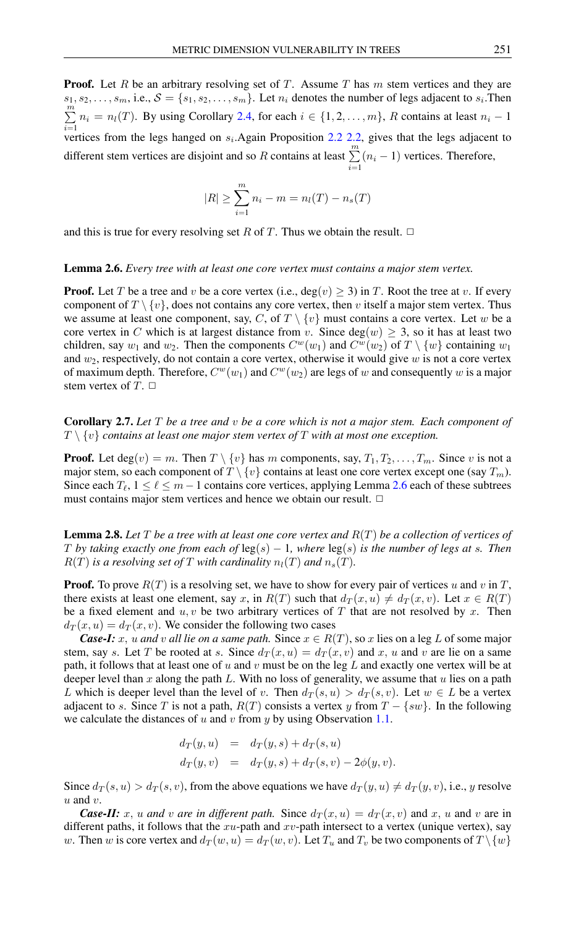**Proof.** Let R be an arbitrary resolving set of T. Assume T has  $m$  stem vertices and they are  $s_1, s_2, \ldots, s_m$ , i.e.,  $S = \{s_1, s_2, \ldots, s_m\}$ . Let  $n_i$  denotes the number of legs adjacent to  $s_i$ . Then  $\sum_{i=1}^{m} n_i = n_i(T)$ . By using Corollary [2.4,](#page-1-0) for each  $i \in \{1, 2, ..., m\}$ , R contains at least  $n_i - 1$ *i*=1 vertices from the legs hanged on  $s_i$ . Again Proposition [2.2](#page-1-1) [2.2,](#page-1-1) gives that the legs adjacent to different stem vertices are disjoint and so R contains at least  $\sum_{n=1}^{m}$  $\sum_{i=1}^{n} (n_i - 1)$  vertices. Therefore,

$$
|R| \ge \sum_{i=1}^{m} n_i - m = n_l(T) - n_s(T)
$$

and this is true for every resolving set R of T. Thus we obtain the result.  $\Box$ 

#### <span id="page-2-0"></span>Lemma 2.6. *Every tree with at least one core vertex must contains a major stem vertex.*

**Proof.** Let T be a tree and v be a core vertex (i.e., deg(v)  $\geq$  3) in T. Root the tree at v. If every component of  $T \setminus \{v\}$ , does not contains any core vertex, then v itself a major stem vertex. Thus we assume at least one component, say, C, of  $T \setminus \{v\}$  must contains a core vertex. Let w be a core vertex in C which is at largest distance from v. Since deg(w)  $\geq$  3, so it has at least two children, say  $w_1$  and  $w_2$ . Then the components  $C^w(w_1)$  and  $C^w(w_2)$  of  $T \setminus \{w\}$  containing  $w_1$ and  $w_2$ , respectively, do not contain a core vertex, otherwise it would give w is not a core vertex of maximum depth. Therefore,  $C^w(w_1)$  and  $C^w(w_2)$  are legs of w and consequently w is a major stem vertex of  $T$ .  $\Box$ 

Corollary 2.7. *Let* T *be a tree and* v *be a core which is not a major stem. Each component of*  $T \setminus \{v\}$  contains at least one major stem vertex of  $T$  with at most one exception.

**Proof.** Let deg $(v) = m$ . Then  $T \setminus \{v\}$  has m components, say,  $T_1, T_2, \ldots, T_m$ . Since v is not a major stem, so each component of  $T \setminus \{v\}$  contains at least one core vertex except one (say  $T_m$ ). Since each  $T_{\ell}$ ,  $1 \leq \ell \leq m - 1$  contains core vertices, applying Lemma [2.6](#page-2-0) each of these subtrees must contains major stem vertices and hence we obtain our result.  $\Box$ 

<span id="page-2-1"></span>Lemma 2.8. *Let* T *be a tree with at least one core vertex and* R(T) *be a collection of vertices of* T by taking exactly one from each of  $\log(s) - 1$ , where  $\log(s)$  is the number of legs at s. Then  $R(T)$  *is a resolving set of* T *with cardinality*  $n_l(T)$  *and*  $n_s(T)$ *.* 

**Proof.** To prove  $R(T)$  is a resolving set, we have to show for every pair of vertices u and v in T, there exists at least one element, say x, in  $R(T)$  such that  $d_T(x, u) \neq d_T(x, v)$ . Let  $x \in R(T)$ be a fixed element and  $u, v$  be two arbitrary vertices of T that are not resolved by x. Then  $d_T(x, u) = d_T(x, v)$ . We consider the following two cases

*Case-I:* x, u and v all lie on a same path. Since  $x \in R(T)$ , so x lies on a leg L of some major stem, say s. Let T be rooted at s. Since  $d_T(x, u) = d_T(x, v)$  and x, u and v are lie on a same path, it follows that at least one of  $u$  and  $v$  must be on the leg  $L$  and exactly one vertex will be at deeper level than  $x$  along the path  $L$ . With no loss of generality, we assume that  $u$  lies on a path L which is deeper level than the level of v. Then  $d_T(s, u) > d_T(s, v)$ . Let  $w \in L$  be a vertex adjacent to s. Since T is not a path,  $R(T)$  consists a vertex y from  $T - \{sw\}$ . In the following we calculate the distances of u and v from y by using Observation [1.1.](#page-1-2)

$$
d_T(y, u) = d_T(y, s) + d_T(s, u)
$$
  
\n
$$
d_T(y, v) = d_T(y, s) + d_T(s, v) - 2\phi(y, v).
$$

Since  $d_T(s, u) > d_T(s, v)$ , from the above equations we have  $d_T(y, u) \neq d_T(y, v)$ , i.e., y resolve  $u$  and  $v$ .

*Case-II:* x, u and v are in different path. Since  $d_T(x, u) = d_T(x, v)$  and x, u and v are in different paths, it follows that the  $xu$ -path and  $xv$ -path intersect to a vertex (unique vertex), say w. Then w is core vertex and  $d_T(w, u) = d_T(w, v)$ . Let  $T_u$  and  $T_v$  be two components of  $T \setminus \{w\}$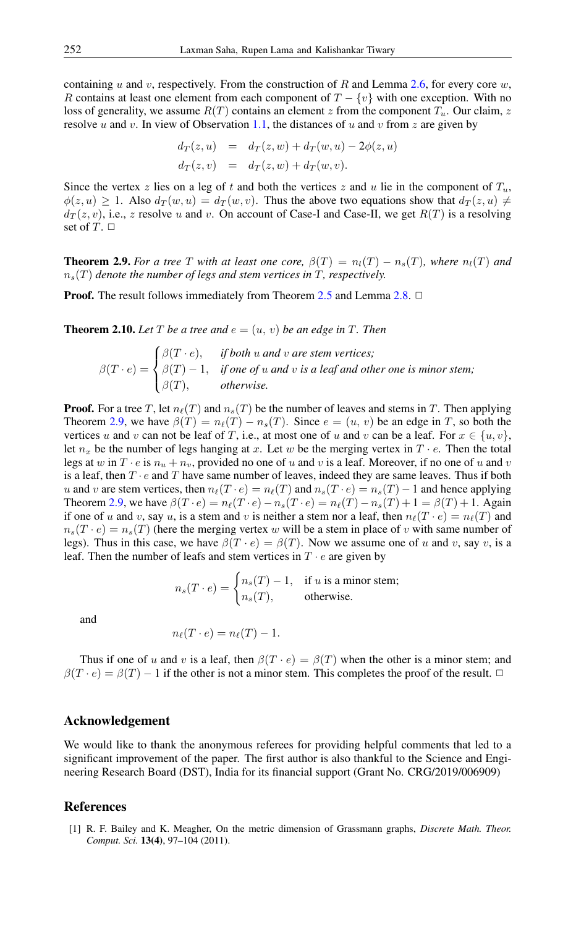containing u and v, respectively. From the construction of R and Lemma [2.6,](#page-2-0) for every core  $w$ , R contains at least one element from each component of  $T - \{v\}$  with one exception. With no loss of generality, we assume  $R(T)$  contains an element z from the component  $T_u$ . Our claim, z resolve u and v. In view of Observation [1.1,](#page-1-2) the distances of u and v from z are given by

$$
d_T(z, u) = d_T(z, w) + d_T(w, u) - 2\phi(z, u)
$$
  

$$
d_T(z, v) = d_T(z, w) + d_T(w, v).
$$

Since the vertex z lies on a leg of t and both the vertices z and u lie in the component of  $T_u$ ,  $\phi(z, u) \geq 1$ . Also  $d_T(w, u) = d_T(w, v)$ . Thus the above two equations show that  $d_T(z, u) \neq 0$  $d_T(z, v)$ , i.e., z resolve u and v. On account of Case-I and Case-II, we get  $R(T)$  is a resolving set of  $T. \Box$ 

<span id="page-3-2"></span>**Theorem 2.9.** For a tree T with at least one core,  $\beta(T) = n_l(T) - n_s(T)$ , where  $n_l(T)$  and  $n_s(T)$  *denote the number of legs and stem vertices in*  $T$ *, respectively.* 

**Proof.** The result follows immediately from Theorem [2.5](#page-1-3) and Lemma [2.8.](#page-2-1)  $\Box$ 

**Theorem 2.10.** Let T be a tree and  $e = (u, v)$  be an edge in T. Then

$$
\beta(T \cdot e) = \begin{cases} \beta(T \cdot e), & \text{if both } u \text{ and } v \text{ are stem vertices;} \\ \beta(T) - 1, & \text{if one of } u \text{ and } v \text{ is a leaf and other one is minor stem;} \\ \beta(T), & \text{otherwise.} \end{cases}
$$

**Proof.** For a tree T, let  $n_{\ell}(T)$  and  $n_s(T)$  be the number of leaves and stems in T. Then applying Theorem [2.9,](#page-3-2) we have  $\beta(T) = n_{\ell}(T) - n_{s}(T)$ . Since  $e = (u, v)$  be an edge in T, so both the vertices u and v can not be leaf of T, i.e., at most one of u and v can be a leaf. For  $x \in \{u, v\}$ , let  $n_x$  be the number of legs hanging at x. Let w be the merging vertex in  $T \cdot e$ . Then the total legs at w in  $T \cdot e$  is  $n_u + n_v$ , provided no one of u and v is a leaf. Moreover, if no one of u and v is a leaf, then  $T \cdot e$  and  $T$  have same number of leaves, indeed they are same leaves. Thus if both u and v are stem vertices, then  $n_{\ell}(T \cdot e) = n_{\ell}(T)$  and  $n_s(T \cdot e) = n_s(T) - 1$  and hence applying Theorem [2.9,](#page-3-2) we have  $\beta(T \cdot e) = n_{\ell}(T \cdot e) - n_s(T \cdot e) = n_{\ell}(T) - n_s(T) + 1 = \beta(T) + 1$ . Again if one of u and v, say u, is a stem and v is neither a stem nor a leaf, then  $n_\ell(T \cdot e) = n_\ell(T)$  and  $n_s(T \cdot e) = n_s(T)$  (here the merging vertex w will be a stem in place of v with same number of legs). Thus in this case, we have  $\beta(T \cdot e) = \beta(T)$ . Now we assume one of u and v, say v, is a leaf. Then the number of leafs and stem vertices in  $T \cdot e$  are given by

$$
n_s(T \cdot e) = \begin{cases} n_s(T) - 1, & \text{if } u \text{ is a minor stem;} \\ n_s(T), & \text{otherwise.} \end{cases}
$$

and

$$
n_{\ell}(T \cdot e) = n_{\ell}(T) - 1.
$$

Thus if one of u and v is a leaf, then  $\beta(T \cdot e) = \beta(T)$  when the other is a minor stem; and  $\beta(T \cdot e) = \beta(T) - 1$  if the other is not a minor stem. This completes the proof of the result.  $\Box$ 

# Acknowledgement

We would like to thank the anonymous referees for providing helpful comments that led to a significant improvement of the paper. The first author is also thankful to the Science and Engineering Research Board (DST), India for its financial support (Grant No. CRG/2019/006909)

## <span id="page-3-0"></span>References

<span id="page-3-1"></span>[1] R. F. Bailey and K. Meagher, On the metric dimension of Grassmann graphs, *Discrete Math. Theor. Comput. Sci.* 13(4), 97–104 (2011).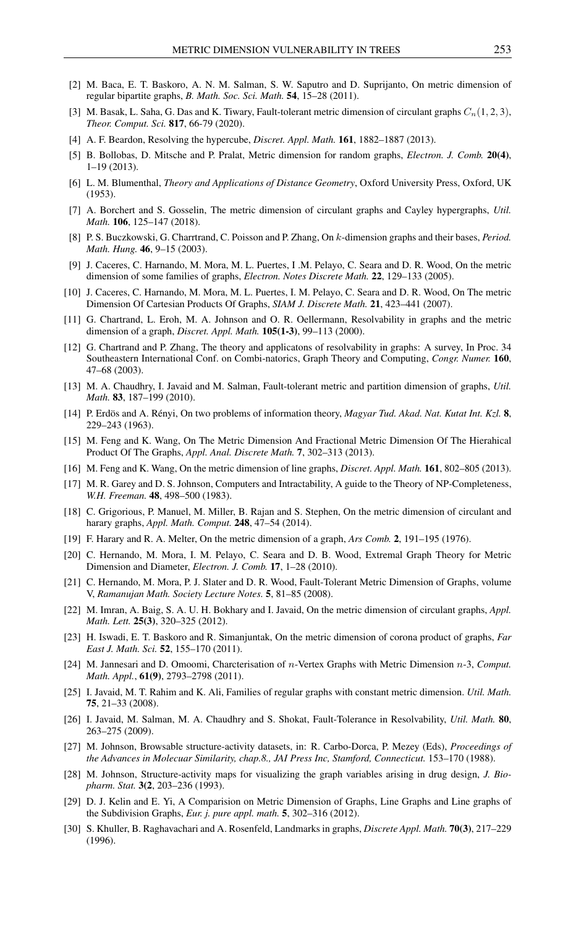- <span id="page-4-0"></span>[2] M. Baca, E. T. Baskoro, A. N. M. Salman, S. W. Saputro and D. Suprijanto, On metric dimension of regular bipartite graphs, *B. Math. Soc. Sci. Math.* 54, 15–28 (2011).
- <span id="page-4-6"></span>[3] M. Basak, L. Saha, G. Das and K. Tiwary, Fault-tolerant metric dimension of circulant graphs  $C_n(1, 2, 3)$ , *Theor. Comput. Sci.* 817, 66-79 (2020).
- <span id="page-4-14"></span>[4] A. F. Beardon, Resolving the hypercube, *Discret. Appl. Math.* 161, 1882–1887 (2013).
- <span id="page-4-15"></span>[5] B. Bollobas, D. Mitsche and P. Pralat, Metric dimension for random graphs, *Electron. J. Comb.* 20(4), 1–19 (2013).
- <span id="page-4-2"></span>[6] L. M. Blumenthal, *Theory and Applications of Distance Geometry*, Oxford University Press, Oxford, UK (1953).
- [7] A. Borchert and S. Gosselin, The metric dimension of circulant graphs and Cayley hypergraphs, *Util. Math.* 106, 125–147 (2018).
- <span id="page-4-12"></span>[8] P. S. Buczkowski, G. Charrtrand, C. Poisson and P. Zhang, On k-dimension graphs and their bases, *Period. Math. Hung.* 46, 9–15 (2003).
- <span id="page-4-13"></span>[9] J. Caceres, C. Harnando, M. Mora, M. L. Puertes, I .M. Pelayo, C. Seara and D. R. Wood, On the metric dimension of some families of graphs, *Electron. Notes Discrete Math.* 22, 129–133 (2005).
- <span id="page-4-19"></span>[10] J. Caceres, C. Harnando, M. Mora, M. L. Puertes, I. M. Pelayo, C. Seara and D. R. Wood, On The metric Dimension Of Cartesian Products Of Graphs, *SIAM J. Discrete Math.* 21, 423–441 (2007).
- <span id="page-4-7"></span>[11] G. Chartrand, L. Eroh, M. A. Johnson and O. R. Oellermann, Resolvability in graphs and the metric dimension of a graph, *Discret. Appl. Math.* 105(1-3), 99–113 (2000).
- [12] G. Chartrand and P. Zhang, The theory and applicatons of resolvability in graphs: A survey, In Proc. 34 Southeastern International Conf. on Combi-natorics, Graph Theory and Computing, *Congr. Numer.* 160, 47–68 (2003).
- [13] M. A. Chaudhry, I. Javaid and M. Salman, Fault-tolerant metric and partition dimension of graphs, *Util. Math.* 83, 187–199 (2010).
- <span id="page-4-16"></span>[14] P. Erdös and A. Rényi, On two problems of information theory, *Magyar Tud. Akad. Nat. Kutat Int. Kzl.* 8, 229–243 (1963).
- <span id="page-4-21"></span>[15] M. Feng and K. Wang, On The Metric Dimension And Fractional Metric Dimension Of The Hierahical Product Of The Graphs, *Appl. Anal. Discrete Math.* 7, 302–313 (2013).
- <span id="page-4-17"></span>[16] M. Feng and K. Wang, On the metric dimension of line graphs, *Discret. Appl. Math.* 161, 802–805 (2013).
- <span id="page-4-1"></span>[17] M. R. Garey and D. S. Johnson, Computers and Intractability, A guide to the Theory of NP-Completeness, *W.H. Freeman.* 48, 498–500 (1983).
- [18] C. Grigorious, P. Manuel, M. Miller, B. Rajan and S. Stephen, On the metric dimension of circulant and harary graphs, *Appl. Math. Comput.* 248, 47–54 (2014).
- <span id="page-4-8"></span>[19] F. Harary and R. A. Melter, On the metric dimension of a graph, *Ars Comb.* 2, 191–195 (1976).
- <span id="page-4-9"></span>[20] C. Hernando, M. Mora, I. M. Pelayo, C. Seara and D. B. Wood, Extremal Graph Theory for Metric Dimension and Diameter, *Electron. J. Comb.* 17, 1–28 (2010).
- [21] C. Hernando, M. Mora, P. J. Slater and D. R. Wood, Fault-Tolerant Metric Dimension of Graphs, volume V, *Ramanujan Math. Society Lecture Notes.* 5, 81–85 (2008).
- <span id="page-4-11"></span>[22] M. Imran, A. Baig, S. A. U. H. Bokhary and I. Javaid, On the metric dimension of circulant graphs, *Appl. Math. Lett.* 25(3), 320–325 (2012).
- <span id="page-4-20"></span>[23] H. Iswadi, E. T. Baskoro and R. Simanjuntak, On the metric dimension of corona product of graphs, *Far East J. Math. Sci.* 52, 155–170 (2011).
- <span id="page-4-10"></span>[24] M. Jannesari and D. Omoomi, Charcterisation of n-Vertex Graphs with Metric Dimension n-3, *Comput. Math. Appl.*, 61(9), 2793–2798 (2011).
- [25] I. Javaid, M. T. Rahim and K. Ali, Families of regular graphs with constant metric dimension. *Util. Math.* 75, 21–33 (2008).
- [26] I. Javaid, M. Salman, M. A. Chaudhry and S. Shokat, Fault-Tolerance in Resolvability, *Util. Math.* 80, 263–275 (2009).
- <span id="page-4-4"></span>[27] M. Johnson, Browsable structure-activity datasets, in: R. Carbo-Dorca, P. Mezey (Eds), *Proceedings of the Advances in Molecuar Similarity, chap.8., JAI Press Inc, Stamford, Connecticut.* 153–170 (1988).
- <span id="page-4-5"></span>[28] M. Johnson, Structure-activity maps for visualizing the graph variables arising in drug design, *J. Biopharm. Stat.* 3(2, 203–236 (1993).
- <span id="page-4-18"></span>[29] D. J. Kelin and E. Yi, A Comparision on Metric Dimension of Graphs, Line Graphs and Line graphs of the Subdivision Graphs, *Eur. j. pure appl. math.* 5, 302–316 (2012).
- <span id="page-4-3"></span>[30] S. Khuller, B. Raghavachari and A. Rosenfeld, Landmarks in graphs, *Discrete Appl. Math.* 70(3), 217–229 (1996).